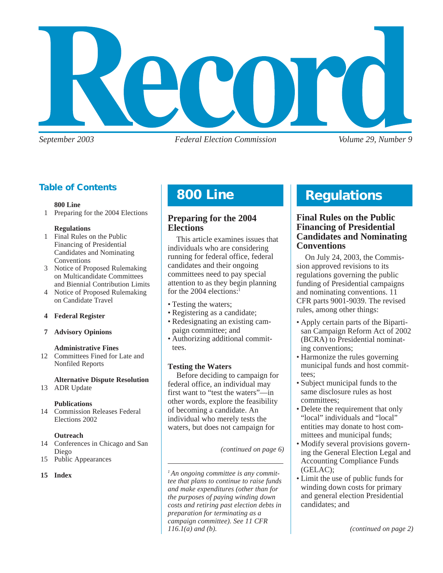

*September 2003 Federal Election Commission Volume 29, Number 9*

## **Table of Contents**

#### **800 Line**

1 Preparing for the 2004 Elections

#### **Regulations**

- 1 Final Rules on the Public Financing of Presidential Candidates and Nominating Conventions
- 3 Notice of Proposed Rulemaking on Multicandidate Committees and Biennial Contribution Limits
- 4 Notice of Proposed Rulemaking on Candidate Travel

## **4 Federal Register**

## **7 Advisory Opinions**

## **Administrative Fines**

12 Committees Fined for Late and Nonfiled Reports

## **Alternative Dispute Resolution**

13 ADR Update

#### **Publications**

14 Commission Releases Federal Elections 2002

## **Outreach**

- 14 Conferences in Chicago and San Diego
- 15 Public Appearances

#### **15 Index**

# **Compliance 800 Line**

## **Preparing for the 2004 Elections**

This article examines issues that individuals who are considering running for federal office, federal candidates and their ongoing committees need to pay special attention to as they begin planning for the 2004 elections:<sup>1</sup>

- Testing the waters;
- Registering as a candidate;
- Redesignating an existing campaign committee; and
- Authorizing additional committees.

## **Testing the Waters**

Before deciding to campaign for federal office, an individual may first want to "test the waters"—in other words, explore the feasibility of becoming a candidate. An individual who merely tests the waters, but does not campaign for

*(continued on page 6)*

*1 An ongoing committee is any committee that plans to continue to raise funds and make expenditures (other than for the purposes of paying winding down costs and retiring past election debts in preparation for terminating as a campaign committee). See 11 CFR 116.1(a) and (b).*

# **Regulations**

## **Final Rules on the Public Financing of Presidential Candidates and Nominating Conventions**

On July 24, 2003, the Commission approved revisions to its regulations governing the public funding of Presidential campaigns and nominating conventions. 11 CFR parts 9001-9039. The revised rules, among other things:

- Apply certain parts of the Bipartisan Campaign Reform Act of 2002 (BCRA) to Presidential nominating conventions;
- Harmonize the rules governing municipal funds and host committees;
- Subject municipal funds to the same disclosure rules as host committees;
- Delete the requirement that only "local" individuals and "local" entities may donate to host committees and municipal funds;
- Modify several provisions governing the General Election Legal and Accounting Compliance Funds (GELAC);
- Limit the use of public funds for winding down costs for primary and general election Presidential candidates; and

*(continued on page 2)*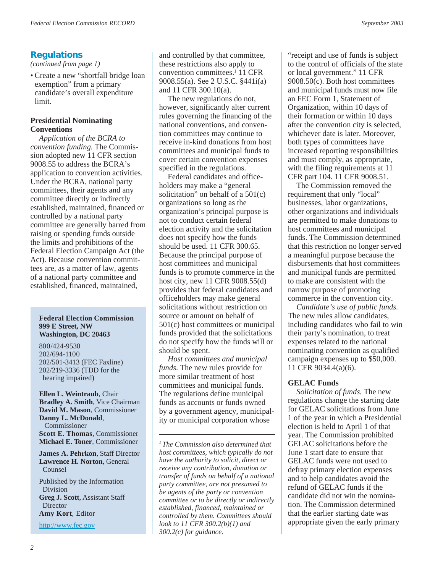## **Regulations**

*(continued from page 1)*

• Create a new "shortfall bridge loan exemption" from a primary candidate's overall expenditure limit.

#### **Presidential Nominating Conventions**

*Application of the BCRA to convention funding.* The Commission adopted new 11 CFR section 9008.55 to address the BCRA's application to convention activities. Under the BCRA, national party committees, their agents and any committee directly or indirectly established, maintained, financed or controlled by a national party committee are generally barred from raising or spending funds outside the limits and prohibitions of the Federal Election Campaign Act (the Act). Because convention committees are, as a matter of law, agents of a national party committee and established, financed, maintained,

#### **Federal Election Commission 999 E Street, NW Washington, DC 20463**

800/424-9530 202/694-1100 202/501-3413 (FEC Faxline) 202/219-3336 (TDD for the hearing impaired)

**Ellen L. Weintraub**, Chair **Bradley A. Smith**, Vice Chairman **David M. Mason**, Commissioner **Danny L. McDonald**, Commissioner **Scott E. Thomas**, Commissioner **Michael E. Toner**, Commissioner

**James A. Pehrkon**, Staff Director **Lawrence H. Norton**, General Counsel

Published by the Information Division **Greg J. Scott**, Assistant Staff Director **Amy Kort**, Editor

<http://www.fec.gov>

and controlled by that committee, these restrictions also apply to convention committees.1 11 CFR 9008.55(a). See 2 U.S.C. §441i(a) and 11 CFR 300.10(a).

The new regulations do not, however, significantly alter current rules governing the financing of the national conventions, and convention committees may continue to receive in-kind donations from host committees and municipal funds to cover certain convention expenses specified in the regulations.

Federal candidates and officeholders may make a "general solicitation" on behalf of a  $501(c)$ organizations so long as the organization's principal purpose is not to conduct certain federal election activity and the solicitation does not specify how the funds should be used. 11 CFR 300.65. Because the principal purpose of host committees and municipal funds is to promote commerce in the host city, new 11 CFR 9008.55(d) provides that federal candidates and officeholders may make general solicitations without restriction on source or amount on behalf of 501(c) host committees or municipal funds provided that the solicitations do not specify how the funds will or should be spent.

*Host committees and municipal funds*. The new rules provide for more similar treatment of host committees and municipal funds. The regulations define municipal funds as accounts or funds owned by a government agency, municipality or municipal corporation whose

*1 The Commission also determined that host committees, which typically do not have the authority to solicit, direct or receive any contribution, donation or transfer of funds on behalf of a national party committee, are not presumed to be agents of the party or convention committee or to be directly or indirectly established, financed, maintained or controlled by them. Committees should look to 11 CFR 300.2(b)(1) and 300.2(c) for guidance.*

"receipt and use of funds is subject to the control of officials of the state or local government." 11 CFR 9008.50(c). Both host committees and municipal funds must now file an FEC Form 1, Statement of Organization, within 10 days of their formation or within 10 days after the convention city is selected, whichever date is later. Moreover, both types of committees have increased reporting responsibilities and must comply, as appropriate, with the filing requirements at 11 CFR part 104. 11 CFR 9008.51.

The Commission removed the requirement that only "local" businesses, labor organizations, other organizations and individuals are permitted to make donations to host committees and municipal funds. The Commission determined that this restriction no longer served a meaningful purpose because the disbursements that host committees and municipal funds are permitted to make are consistent with the narrow purpose of promoting commerce in the convention city.

*Candidate's use of public funds.* The new rules allow candidates, including candidates who fail to win their party's nomination, to treat expenses related to the national nominating convention as qualified campaign expenses up to \$50,000. 11 CFR 9034.4(a)(6).

#### **GELAC Funds**

*Solicitation of funds.* The new regulations change the starting date for GELAC solicitations from June 1 of the year in which a Presidential election is held to April 1 of that year. The Commission prohibited GELAC solicitations before the June 1 start date to ensure that GELAC funds were not used to defray primary election expenses and to help candidates avoid the refund of GELAC funds if the candidate did not win the nomination. The Commission determined that the earlier starting date was appropriate given the early primary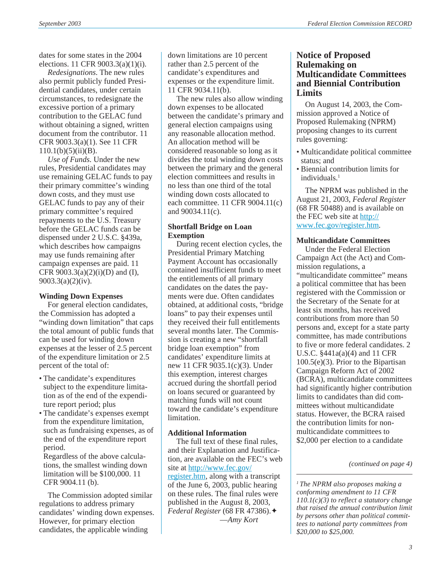dates for some states in the 2004 elections. 11 CFR 9003.3(a)(1)(i).

*Redesignations*. The new rules also permit publicly funded Presidential candidates, under certain circumstances, to redesignate the excessive portion of a primary contribution to the GELAC fund without obtaining a signed, written document from the contributor. 11 CFR 9003.3(a)(1). See 11 CFR  $110.1(b)(5)(ii)(B)$ .

*Use of Funds*. Under the new rules, Presidential candidates may use remaining GELAC funds to pay their primary committee's winding down costs, and they must use GELAC funds to pay any of their primary committee's required repayments to the U.S. Treasury before the GELAC funds can be dispensed under 2 U.S.C. §439a, which describes how campaigns may use funds remaining after campaign expenses are paid. 11 CFR  $9003.3(a)(2)(i)(D)$  and (I), 9003.3(a)(2)(iv).

#### **Winding Down Expenses**

For general election candidates, the Commission has adopted a "winding down limitation" that caps the total amount of public funds that can be used for winding down expenses at the lesser of 2.5 percent of the expenditure limitation or 2.5 percent of the total of:

- The candidate's expenditures subject to the expenditure limitation as of the end of the expenditure report period; plus
- The candidate's expenses exempt from the expenditure limitation, such as fundraising expenses, as of the end of the expenditure report period.

Regardless of the above calculations, the smallest winding down limitation will be \$100,000. 11 CFR 9004.11 (b).

The Commission adopted similar regulations to address primary candidates' winding down expenses. However, for primary election candidates, the applicable winding

down limitations are 10 percent rather than 2.5 percent of the candidate's expenditures and expenses or the expenditure limit. 11 CFR 9034.11(b).

The new rules also allow winding down expenses to be allocated between the candidate's primary and general election campaigns using any reasonable allocation method. An allocation method will be considered reasonable so long as it divides the total winding down costs between the primary and the general election committees and results in no less than one third of the total winding down costs allocated to each committee. 11 CFR 9004.11(c) and 90034.11(c).

#### **Shortfall Bridge on Loan Exemption**

During recent election cycles, the Presidential Primary Matching Payment Account has occasionally contained insufficient funds to meet the entitlements of all primary candidates on the dates the payments were due. Often candidates obtained, at additional costs, "bridge loans" to pay their expenses until they received their full entitlements several months later. The Commission is creating a new "shortfall bridge loan exemption" from candidates' expenditure limits at new 11 CFR 9035.1(c)(3). Under this exemption, interest charges accrued during the shortfall period on loans secured or guaranteed by matching funds will not count toward the candidate's expenditure limitation.

#### **Additional Information**

The full text of these final rules, and their Explanation and Justification, are available on the FEC's web site at [http://www.fec.gov/](http://www.fec.gov/register.htm) [register.htm](http://www.fec.gov/register.htm), along with a transcript of the June 6, 2003, public hearing on these rules. The final rules were published in the August 8, 2003, *Federal Register* (68 FR 47386).✦ —*Amy Kort*

## **Notice of Proposed Rulemaking on Multicandidate Committees and Biennial Contribution Limits**

On August 14, 2003, the Commission approved a Notice of Proposed Rulemaking (NPRM) proposing changes to its current rules governing:

- Multicandidate political committee status; and
- Biennial contribution limits for individuals.<sup>1</sup>

The NPRM was published in the August 21, 2003, *Federal Register* (68 FR 50488) and is available on the FEC web site at [http://](http://www.fec.gov/register.htm) [www.fec.gov/register.htm.](http://www.fec.gov/register.htm)

#### **Multicandidate Committees**

Under the Federal Election Campaign Act (the Act) and Commission regulations, a "multicandidate committee" means a political committee that has been registered with the Commission or the Secretary of the Senate for at least six months, has received contributions from more than 50 persons and, except for a state party committee, has made contributions to five or more federal candidates. 2 U.S.C. §441a(a)(4) and 11 CFR 100.5(e)(3). Prior to the Bipartisan Campaign Reform Act of 2002 (BCRA), multicandidate committees had significantly higher contribution limits to candidates than did committees without multicandidate status. However, the BCRA raised the contribution limits for nonmulticandidate committees to \$2,000 per election to a candidate

*1 The NPRM also proposes making a conforming amendment to 11 CFR 110.1(c)(3) to reflect a statutory change that raised the annual contribution limit by persons other than political committees to national party committees from \$20,000 to \$25,000.*

*<sup>(</sup>continued on page 4)*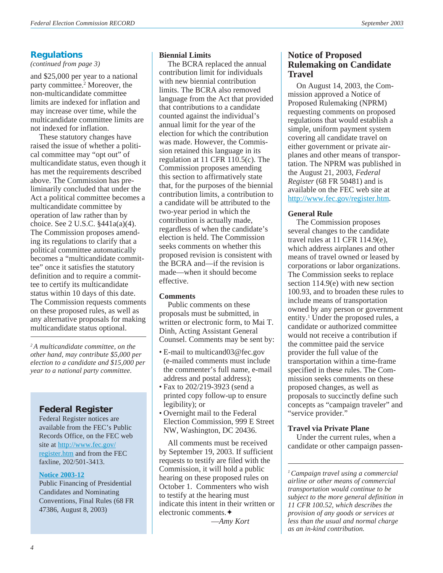## **Regulations**

*(continued from page 3)*

and \$25,000 per year to a national party committee.<sup>2</sup> Moreover, the non-multicandidate committee limits are indexed for inflation and may increase over time, while the multicandidate committee limits are not indexed for inflation.

These statutory changes have raised the issue of whether a political committee may "opt out" of multicandidate status, even though it has met the requirements described above. The Commission has preliminarily concluded that under the Act a political committee becomes a multicandidate committee by operation of law rather than by choice. See 2 U.S.C. §441a(a)(4). The Commission proposes amending its regulations to clarify that a political committee automatically becomes a "multicandidate committee" once it satisfies the statutory definition and to require a committee to certify its multicandidate status within 10 days of this date. The Commission requests comments on these proposed rules, as well as any alternative proposals for making multicandidate status optional.

*2 A multicandidate committee, on the other hand, may contribute \$5,000 per election to a candidate and \$15,000 per year to a national party committee.*

## **Federal Register**

Federal Register notices are available from the FEC's Public Records Office, on the FEC web site at [http://www.fec.gov/](http://www.fec.gov/register.htm) [register.htm](http://www.fec.gov/register.htm) and from the FEC faxline, 202/501-3413.

#### **[Notice 2003-12](http://www.fec.gov/pdf/nprm/public_financing/fr68n153p47385.pdf)**

Public Financing of Presidential Candidates and Nominating Conventions, Final Rules (68 FR 47386, August 8, 2003)

## **Biennial Limits**

The BCRA replaced the annual contribution limit for individuals with new biennial contribution limits. The BCRA also removed language from the Act that provided that contributions to a candidate counted against the individual's annual limit for the year of the election for which the contribution was made. However, the Commission retained this language in its regulation at 11 CFR 110.5(c). The Commission proposes amending this section to affirmatively state that, for the purposes of the biennial contribution limits, a contribution to a candidate will be attributed to the two-year period in which the contribution is actually made, regardless of when the candidate's election is held. The Commission seeks comments on whether this proposed revision is consistent with the BCRA and—if the revision is made—when it should become effective.

## **Comments**

Public comments on these proposals must be submitted, in written or electronic form, to Mai T. Dinh, Acting Assistant General Counsel. Comments may be sent by:

- E-mail to multicand03@fec.gov (e-mailed comments must include the commenter's full name, e-mail address and postal address);
- Fax to 202/219-3923 (send a printed copy follow-up to ensure legibility); or
- Overnight mail to the Federal Election Commission, 999 E Street NW, Washington, DC 20436.

All comments must be received by September 19, 2003. If sufficient requests to testify are filed with the Commission, it will hold a public hearing on these proposed rules on October 1. Commenters who wish to testify at the hearing must indicate this intent in their written or electronic comments.✦

—*Amy Kort*

## **Notice of Proposed Rulemaking on Candidate Travel**

On August 14, 2003, the Commission approved a Notice of Proposed Rulemaking (NPRM) requesting comments on proposed regulations that would establish a simple, uniform payment system covering all candidate travel on either government or private airplanes and other means of transportation. The NPRM was published in the August 21, 2003, *Federal Register* (68 FR 50481) and is available on the FEC web site at [http://www.fec.gov/register.htm.](http://www.fec.gov/register.htm)

## **General Rule**

The Commission proposes several changes to the candidate travel rules at 11 CFR 114.9(e), which address airplanes and other means of travel owned or leased by corporations or labor organizations. The Commission seeks to replace section 114.9(e) with new section 100.93, and to broaden these rules to include means of transportation owned by any person or government entity.<sup>1</sup> Under the proposed rules, a candidate or authorized committee would not receive a contribution if the committee paid the service provider the full value of the transportation within a time-frame specified in these rules. The Commission seeks comments on these proposed changes, as well as proposals to succinctly define such concepts as "campaign traveler" and "service provider."

## **Travel via Private Plane**

Under the current rules, when a candidate or other campaign passen-

*<sup>1</sup> Campaign travel using a commercial airline or other means of commercial transportation would continue to be subject to the more general definition in 11 CFR 100.52, which describes the provision of any goods or services at less than the usual and normal charge as an in-kind contribution.*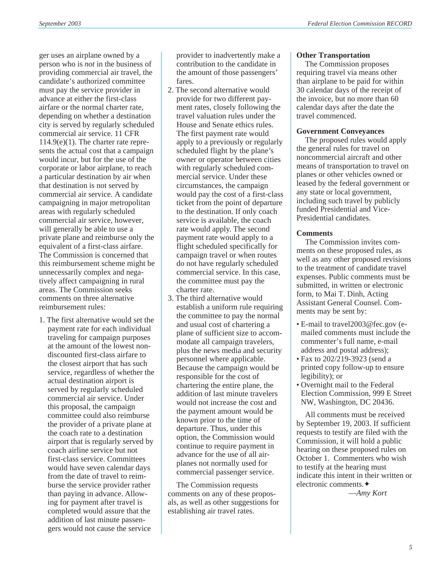ger uses an airplane owned by a person who is *not* in the business of providing commercial air travel, the candidate's authorized committee must pay the service provider in advance at either the first-class airfare or the normal charter rate, depending on whether a destination city is served by regularly scheduled commercial air service. 11 CFR  $114.9(e)(1)$ . The charter rate represents the actual cost that a campaign would incur, but for the use of the corporate or labor airplane, to reach a particular destination by air when that destination is not served by commercial air service. A candidate campaigning in major metropolitan areas with regularly scheduled commercial air service, however, will generally be able to use a private plane and reimburse only the equivalent of a first-class airfare. The Commission is concerned that this reimbursement scheme might be unnecessarily complex and negatively affect campaigning in rural areas. The Commission seeks comments on three alternative reimbursement rules:

1. The first alternative would set the payment rate for each individual traveling for campaign purposes at the amount of the lowest nondiscounted first-class airfare to the closest airport that has such service, regardless of whether the actual destination airport is served by regularly scheduled commercial air service. Under this proposal, the campaign committee could also reimburse the provider of a private plane at the coach rate to a destination airport that is regularly served by coach airline service but not first-class service. Committees would have seven calendar days from the date of travel to reimburse the service provider rather than paying in advance. Allowing for payment after travel is completed would assure that the addition of last minute passengers would not cause the service

provider to inadvertently make a contribution to the candidate in the amount of those passengers' fares.

- 2. The second alternative would provide for two different payment rates, closely following the travel valuation rules under the House and Senate ethics rules. The first payment rate would apply to a previously or regularly scheduled flight by the plane's owner or operator between cities with regularly scheduled commercial service. Under these circumstances, the campaign would pay the cost of a first-class ticket from the point of departure to the destination. If only coach service is available, the coach rate would apply. The second payment rate would apply to a flight scheduled specifically for campaign travel or when routes do not have regularly scheduled commercial service. In this case, the committee must pay the charter rate.
- 3. The third alternative would establish a uniform rule requiring the committee to pay the normal and usual cost of chartering a plane of sufficient size to accommodate all campaign travelers, plus the news media and security personnel where applicable. Because the campaign would be responsible for the cost of chartering the entire plane, the addition of last minute travelers would not increase the cost and the payment amount would be known prior to the time of departure. Thus, under this option, the Commission would continue to require payment in advance for the use of all airplanes not normally used for commercial passenger service.

The Commission requests comments on any of these proposals, as well as other suggestions for establishing air travel rates.

## **Other Transportation**

The Commission proposes requiring travel via means other than airplane to be paid for within 30 calendar days of the receipt of the invoice, but no more than 60 calendar days after the date the travel commenced.

## **Government Conveyances**

The proposed rules would apply the general rules for travel on noncommercial aircraft and other means of transportation to travel on planes or other vehicles owned or leased by the federal government or any state or local government, including such travel by publicly funded Presidential and Vice-Presidential candidates.

## **Comments**

The Commission invites comments on these proposed rules, as well as any other proposed revisions to the treatment of candidate travel expenses. Public comments must be submitted, in written or electronic form, to Mai T. Dinh, Acting Assistant General Counsel. Comments may be sent by:

- E-mail to travel2003@fec.gov (emailed comments must include the commenter's full name, e-mail address and postal address);
- Fax to 202/219-3923 (send a printed copy follow-up to ensure legibility); or
- Overnight mail to the Federal Election Commission, 999 E Street NW, Washington, DC 20436.

All comments must be received by September 19, 2003. If sufficient requests to testify are filed with the Commission, it will hold a public hearing on these proposed rules on October 1. Commenters who wish to testify at the hearing must indicate this intent in their written or electronic comments.✦

—*Amy Kort*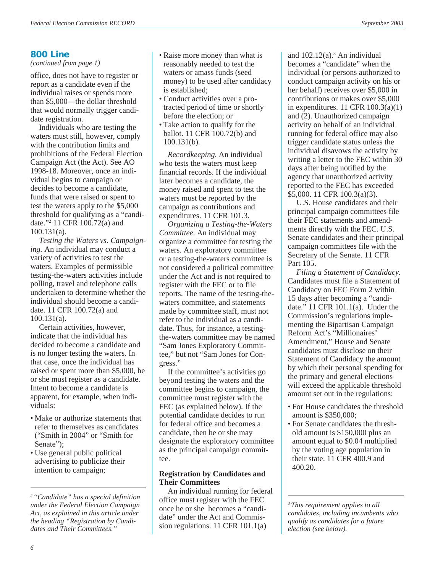## **800 Line**

*(continued from page 1)*

office, does not have to register or report as a candidate even if the individual raises or spends more than \$5,000—the dollar threshold that would normally trigger candidate registration.

Individuals who are testing the waters must still, however, comply with the contribution limits and prohibitions of the Federal Election Campaign Act (the Act). See AO 1998-18. Moreover, once an individual begins to campaign or decides to become a candidate, funds that were raised or spent to test the waters apply to the \$5,000 threshold for qualifying as a "candidate."2 11 CFR 100.72(a) and 100.131(a).

*Testing the Waters vs. Campaigning.* An individual may conduct a variety of activities to test the waters. Examples of permissible testing-the-waters activities include polling, travel and telephone calls undertaken to determine whether the individual should become a candidate. 11 CFR 100.72(a) and 100.131(a).

Certain activities, however, indicate that the individual has decided to become a candidate and is no longer testing the waters. In that case, once the individual has raised or spent more than \$5,000, he or she must register as a candidate. Intent to become a candidate is apparent, for example, when individuals:

- Make or authorize statements that refer to themselves as candidates ("Smith in 2004" or "Smith for Senate":
- Use general public political advertising to publicize their intention to campaign;
- Raise more money than what is reasonably needed to test the waters or amass funds (seed money) to be used after candidacy is established;
- Conduct activities over a protracted period of time or shortly before the election; or
- Take action to qualify for the ballot. 11 CFR 100.72(b) and 100.131(b).

*Recordkeeping*. An individual who tests the waters must keep financial records. If the individual later becomes a candidate, the money raised and spent to test the waters must be reported by the campaign as contributions and expenditures. 11 CFR 101.3.

*Organizing a Testing-the-Waters Committee*. An individual may organize a committee for testing the waters. An exploratory committee or a testing-the-waters committee is not considered a political committee under the Act and is not required to register with the FEC or to file reports. The name of the testing-thewaters committee, and statements made by committee staff, must not refer to the individual as a candidate. Thus, for instance, a testingthe-waters committee may be named "Sam Jones Exploratory Committee," but not "Sam Jones for Congress."

If the committee's activities go beyond testing the waters and the committee begins to campaign, the committee must register with the FEC (as explained below). If the potential candidate decides to run for federal office and becomes a candidate, then he or she may designate the exploratory committee as the principal campaign committee.

## **Registration by Candidates and Their Committees**

An individual running for federal office must register with the FEC once he or she becomes a "candidate" under the Act and Commission regulations. 11 CFR 101.1(a)

and  $102.12(a)$ .<sup>3</sup> An individual becomes a "candidate" when the individual (or persons authorized to conduct campaign activity on his or her behalf) receives over \$5,000 in contributions or makes over \$5,000 in expenditures. 11 CFR 100.3(a)(1) and (2). Unauthorized campaign activity on behalf of an individual running for federal office may also trigger candidate status unless the individual disavows the activity by writing a letter to the FEC within 30 days after being notified by the agency that unauthorized activity reported to the FEC has exceeded \$5,000. 11 CFR 100.3(a)(3).

U.S. House candidates and their principal campaign committees file their FEC statements and amendments directly with the FEC. U.S. Senate candidates and their principal campaign committees file with the Secretary of the Senate. 11 CFR Part 105.

*Filing a Statement of Candidacy*. Candidates must file a Statement of Candidacy on FEC Form 2 within 15 days after becoming a "candidate." 11 CFR 101.1(a). Under the Commission's regulations implementing the Bipartisan Campaign Reform Act's "Millionaires' Amendment," House and Senate candidates must disclose on their Statement of Candidacy the amount by which their personal spending for the primary and general elections will exceed the applicable threshold amount set out in the regulations:

- For House candidates the threshold amount is \$350,000;
- For Senate candidates the threshold amount is \$150,000 plus an amount equal to \$0.04 multiplied by the voting age population in their state. 11 CFR 400.9 and 400.20.

*3 This requirement applies to all candidates, including incumbents who qualify as candidates for a future election (see below).*

*<sup>2 &</sup>quot;Candidate" has a special definition under the Federal Election Campaign Act, as explained in this article under the heading "Registration by Candidates and Their Committees."*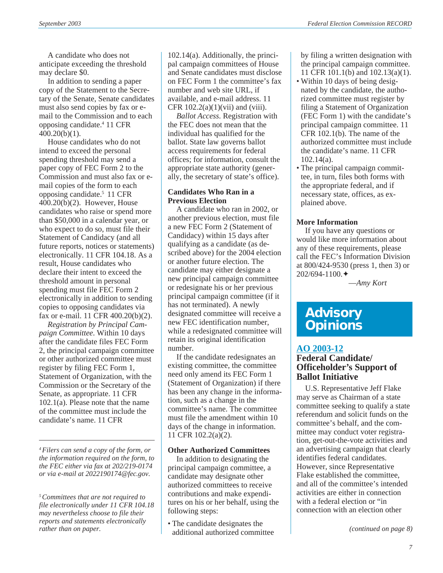A candidate who does not anticipate exceeding the threshold may declare \$0.

In addition to sending a paper copy of the Statement to the Secretary of the Senate, Senate candidates must also send copies by fax or email to the Commission and to each opposing candidate.4 11 CFR 400.20(b)(1).

House candidates who do not intend to exceed the personal spending threshold may send a paper copy of FEC Form 2 to the Commission and must also fax or email copies of the form to each opposing candidate.5 11 CFR 400.20(b)(2). However, House candidates who raise or spend more than \$50,000 in a calendar year, or who expect to do so, must file their Statement of Candidacy (and all future reports, notices or statements) electronically. 11 CFR 104.18. As a result, House candidates who declare their intent to exceed the threshold amount in personal spending must file FEC Form 2 electronically in addition to sending copies to opposing candidates via fax or e-mail. 11 CFR 400.20(b)(2).

*Registration by Principal Campaign Committee*. Within 10 days after the candidate files FEC Form 2, the principal campaign committee or other authorized committee must register by filing FEC Form 1, Statement of Organization, with the Commission or the Secretary of the Senate, as appropriate. 11 CFR 102.1(a). Please note that the name of the committee must include the candidate's name. 11 CFR

*4 Filers can send a copy of the form, or the information required on the form, to the FEC either via fax at 202/219-0174 or via e-mail at 2022190174@fec.gov.*

*5 Committees that are not required to file electronically under 11 CFR 104.18 may nevertheless choose to file their reports and statements electronically rather than on paper.*

102.14(a). Additionally, the principal campaign committees of House and Senate candidates must disclose on FEC Form 1 the committee's fax number and web site URL, if available, and e-mail address. 11 CFR  $102.2(a)(1)(vii)$  and (viii).

*Ballot Access.* Registration with the FEC does not mean that the individual has qualified for the ballot. State law governs ballot access requirements for federal offices; for information, consult the appropriate state authority (generally, the secretary of state's office).

#### **Candidates Who Ran in a Previous Election**

A candidate who ran in 2002, or another previous election, must file a new FEC Form 2 (Statement of Candidacy) within 15 days after qualifying as a candidate (as described above) for the 2004 election or another future election. The candidate may either designate a new principal campaign committee or redesignate his or her previous principal campaign committee (if it has not terminated). A newly designated committee will receive a new FEC identification number, while a redesignated committee will retain its original identification number.

If the candidate redesignates an existing committee, the committee need only amend its FEC Form 1 (Statement of Organization) if there has been any change in the information, such as a change in the committee's name. The committee must file the amendment within 10 days of the change in information. 11 CFR 102.2(a)(2).

#### **Other Authorized Committees**

In addition to designating the principal campaign committee, a candidate may designate other authorized committees to receive contributions and make expenditures on his or her behalf, using the following steps:

• The candidate designates the additional authorized committee

by filing a written designation with the principal campaign committee. 11 CFR 101.1(b) and 102.13(a)(1).

- Within 10 days of being designated by the candidate, the authorized committee must register by filing a Statement of Organization (FEC Form 1) with the candidate's principal campaign committee. 11 CFR 102.1(b). The name of the authorized committee must include the candidate's name. 11 CFR 102.14(a).
- The principal campaign committee, in turn, files both forms with the appropriate federal, and if necessary state, offices, as explained above.

## **More Information**

If you have any questions or would like more information about any of these requirements, please call the FEC's Information Division at 800/424-9530 (press 1, then 3) or 202/694-1100.✦

—*Amy Kort*

## **Advisory Opinions**

## **[AO 2003-12](http://saos.fec.gov/aodocs/2003-12.pdf)**

## **Federal Candidate/ Officeholder's Support of Ballot Initiative**

U.S. Representative Jeff Flake may serve as Chairman of a state committee seeking to qualify a state referendum and solicit funds on the committee's behalf, and the committee may conduct voter registration, get-out-the-vote activities and an advertising campaign that clearly identifies federal candidates. However, since Representative Flake established the committee, and all of the committee's intended activities are either in connection with a federal election or "in connection with an election other

*(continued on page 8)*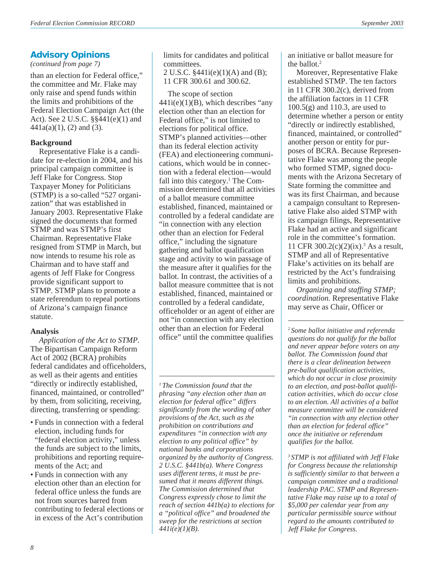## **Advisory Opinions**

*(continued from page 7)*

than an election for Federal office," the committee and Mr. Flake may only raise and spend funds within the limits and prohibitions of the Federal Election Campaign Act (the Act). See 2 U.S.C. §§441(e)(1) and  $441a(a)(1)$ , (2) and (3).

## **Background**

Representative Flake is a candidate for re-election in 2004, and his principal campaign committee is Jeff Flake for Congress. Stop Taxpayer Money for Politicians (STMP) is a so-called "527 organization" that was established in January 2003. Representative Flake signed the documents that formed STMP and was STMP's first Chairman. Representative Flake resigned from STMP in March, but now intends to resume his role as Chairman and to have staff and agents of Jeff Flake for Congress provide significant support to STMP. STMP plans to promote a state referendum to repeal portions of Arizona's campaign finance statute.

## **Analysis**

*Application of the Act to STMP*. The Bipartisan Campaign Reform Act of 2002 (BCRA) prohibits federal candidates and officeholders, as well as their agents and entities "directly or indirectly established, financed, maintained, or controlled" by them, from soliciting, receiving, directing, transferring or spending:

- Funds in connection with a federal election, including funds for "federal election activity," unless the funds are subject to the limits, prohibitions and reporting requirements of the Act; and
- Funds in connection with any election other than an election for federal office unless the funds are not from sources barred from contributing to federal elections or in excess of the Act's contribution

limits for candidates and political committees.

2 U.S.C. §441i(e)(1)(A) and (B); 11 CFR 300.61 and 300.62.

The scope of section  $441i(e)(1)(B)$ , which describes "any election other than an election for Federal office," is not limited to elections for political office. STMP's planned activities—other than its federal election activity (FEA) and electioneering communications, which would be in connection with a federal election—would fall into this category.<sup>1</sup> The Commission determined that all activities of a ballot measure committee established, financed, maintained or controlled by a federal candidate are "in connection with any election other than an election for Federal office," including the signature gathering and ballot qualification stage and activity to win passage of the measure after it qualifies for the ballot. In contrast, the activities of a ballot measure committee that is not established, financed, maintained or controlled by a federal candidate, officeholder or an agent of either are not "in connection with any election other than an election for Federal office" until the committee qualifies

*1 The Commission found that the phrasing "any election other than an election for federal office" differs significantly from the wording of other provisions of the Act, such as the prohibition on contributions and expenditures "in connection with any election to any political office" by national banks and corporations organized by the authority of Congress. 2 U.S.C. §441b(a). Where Congress uses different terms, it must be presumed that it means different things. The Commission determined that Congress expressly chose to limit the reach of section 441b(a) to elections for a "political office" and broadened the sweep for the restrictions at section 441i(e)(1)(B).*

an initiative or ballot measure for the ballot.<sup>2</sup>

Moreover, Representative Flake established STMP. The ten factors in 11 CFR 300.2(c), derived from the affiliation factors in 11 CFR 100.5(g) and 110.3, are used to determine whether a person or entity "directly or indirectly established, financed, maintained, or controlled" another person or entity for purposes of BCRA. Because Representative Flake was among the people who formed STMP, signed documents with the Arizona Secretary of State forming the committee and was its first Chairman, and because a campaign consultant to Representative Flake also aided STMP with its campaign filings, Representative Flake had an active and significant role in the committee's formation. 11 CFR 300.2(c)(2)(ix).3 As a result, STMP and all of Representative Flake's activities on its behalf are restricted by the Act's fundraising limits and prohibitions.

*Organizing and staffing STMP; coordination*. Representative Flake may serve as Chair, Officer or

*2 Some ballot initiative and referenda questions do not qualify for the ballot and never appear before voters on any ballot. The Commission found that there is a clear delineation between pre-ballot qualification activities, which do not occur in close proximity to an election, and post-ballot qualification activities, which do occur close to an election. All activities of a ballot measure committee will be considered "in connection with any election other than an election for federal office" once the initiative or referendum qualifies for the ballot.*

*3 STMP is not affiliated with Jeff Flake for Congress because the relationship is sufficiently similar to that between a campaign committee and a traditional leadership PAC. STMP and Representative Flake may raise up to a total of \$5,000 per calendar year from any particular permissible source without regard to the amounts contributed to Jeff Flake for Congress.*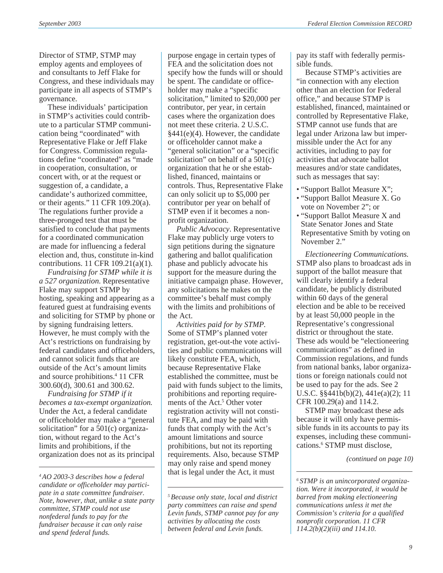Director of STMP, STMP may employ agents and employees of and consultants to Jeff Flake for Congress, and these individuals may participate in all aspects of STMP's governance.

These individuals' participation in STMP's activities could contribute to a particular STMP communication being "coordinated" with Representative Flake or Jeff Flake for Congress. Commission regulations define "coordinated" as "made in cooperation, consultation, or concert with, or at the request or suggestion of, a candidate, a candidate's authorized committee, or their agents." 11 CFR 109.20(a). The regulations further provide a three-pronged test that must be satisfied to conclude that payments for a coordinated communication are made for influencing a federal election and, thus, constitute in-kind contributions. 11 CFR 109.21(a)(1).

*Fundraising for STMP while it is a 527 organization*. Representative Flake may support STMP by hosting, speaking and appearing as a featured guest at fundraising events and soliciting for STMP by phone or by signing fundraising letters. However, he must comply with the Act's restrictions on fundraising by federal candidates and officeholders, and cannot solicit funds that are outside of the Act's amount limits and source prohibitions.4 11 CFR 300.60(d), 300.61 and 300.62.

*Fundraising for STMP if it becomes a tax-exempt organization*. Under the Act, a federal candidate or officeholder may make a "general solicitation" for a 501(c) organization, without regard to the Act's limits and prohibitions, if the organization does not as its principal

purpose engage in certain types of FEA and the solicitation does not specify how the funds will or should be spent. The candidate or officeholder may make a "specific solicitation," limited to \$20,000 per contributor, per year, in certain cases where the organization does not meet these criteria. 2 U.S.C. §441(e)(4). However, the candidate or officeholder cannot make a "general solicitation" or a "specific solicitation" on behalf of a  $501(c)$ organization that he or she established, financed, maintains or controls. Thus, Representative Flake can only solicit up to \$5,000 per contributor per year on behalf of STMP even if it becomes a nonprofit organization.

*Public Advocacy*. Representative Flake may publicly urge voters to sign petitions during the signature gathering and ballot qualification phase and publicly advocate his support for the measure during the initiative campaign phase. However, any solicitations he makes on the committee's behalf must comply with the limits and prohibitions of the Act.

*Activities paid for by STMP*. Some of STMP's planned voter registration, get-out-the vote activities and public communications will likely constitute FEA, which, because Representative Flake established the committee, must be paid with funds subject to the limits, prohibitions and reporting requirements of the Act.<sup>5</sup> Other voter registration activity will not constitute FEA, and may be paid with funds that comply with the Act's amount limitations and source prohibitions, but not its reporting requirements. Also, because STMP may only raise and spend money that is legal under the Act, it must

*5 Because only state, local and district party committees can raise and spend Levin funds, STMP cannot pay for any activities by allocating the costs between federal and Levin funds.*

pay its staff with federally permissible funds.

Because STMP's activities are "in connection with any election other than an election for Federal office," and because STMP is established, financed, maintained or controlled by Representative Flake, STMP cannot use funds that are legal under Arizona law but impermissible under the Act for any activities, including to pay for activities that advocate ballot measures and/or state candidates, such as messages that say:

- "Support Ballot Measure X";
- "Support Ballot Measure X. Go vote on November 2"; or
- "Support Ballot Measure X and State Senator Jones and State Representative Smith by voting on November 2."

*Electioneering Communications*. STMP also plans to broadcast ads in support of the ballot measure that will clearly identify a federal candidate, be publicly distributed within 60 days of the general election and be able to be received by at least 50,000 people in the Representative's congressional district or throughout the state. These ads would be "electioneering communications" as defined in Commission regulations, and funds from national banks, labor organizations or foreign nationals could not be used to pay for the ads. See 2 U.S.C. §§441b(b)(2), 441e(a)(2); 11 CFR 100.29(a) and 114.2.

STMP may broadcast these ads because it will only have permissible funds in its accounts to pay its expenses, including these communications.6 STMP must disclose,

*(continued on page 10)*

*<sup>4</sup> AO 2003-3 describes how a federal candidate or officeholder may participate in a state committee fundraiser. Note, however, that, unlike a state party committee, STMP could not use nonfederal funds to pay for the fundraiser because it can only raise and spend federal funds.*

*<sup>6</sup> STMP is an unincorporated organization. Were it incorporated, it would be barred from making electioneering communications unless it met the Commission's criteria for a qualified nonprofit corporation. 11 CFR 114.2(b)(2)(iii) and 114.10.*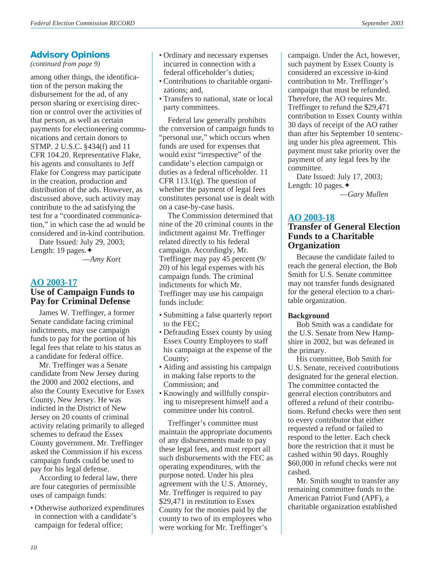## **Advisory Opinions**

*(continued from page 9)*

among other things, the identification of the person making the disbursement for the ad, of any person sharing or exercising direction or control over the activities of that person, as well as certain payments for electioneering communications and certain donors to STMP. 2 U.S.C. §434(f) and 11 CFR 104.20. Representative Flake, his agents and consultants to Jeff Flake for Congress may participate in the creation, production and distribution of the ads. However, as discussed above, such activity may contribute to the ad satisfying the test for a "coordinated communication," in which case the ad would be considered and in-kind contribution.

Date Issued: July 29, 2003; Length: 19 pages.✦

—*Amy Kort*

## **[AO 2003-17](http://saos.fec.gov/aodocs/2003-17.pdf) Use of Campaign Funds to Pay for Criminal Defense**

James W. Treffinger, a former Senate candidate facing criminal indictments, may use campaign funds to pay for the portion of his legal fees that relate to his status as a candidate for federal office.

Mr. Treffinger was a Senate candidate from New Jersey during the 2000 and 2002 elections, and also the County Executive for Essex County, New Jersey. He was indicted in the District of New Jersey on 20 counts of criminal activity relating primarily to alleged schemes to defraud the Essex County government. Mr. Treffinger asked the Commission if his excess campaign funds could be used to pay for his legal defense.

According to federal law, there are four categories of permissible uses of campaign funds:

• Otherwise authorized expenditures in connection with a candidate's campaign for federal office;

- Ordinary and necessary expenses incurred in connection with a federal officeholder's duties;
- Contributions to charitable organizations; and,
- Transfers to national, state or local party committees.

Federal law generally prohibits the conversion of campaign funds to "personal use," which occurs when funds are used for expenses that would exist "irrespective" of the candidate's election campaign or duties as a federal officeholder. 11 CFR  $113.1(g)$ . The question of whether the payment of legal fees constitutes personal use is dealt with on a case-by-case basis.

The Commission determined that nine of the 20 criminal counts in the indictment against Mr. Treffinger related directly to his federal campaign. Accordingly, Mr. Treffinger may pay 45 percent (9/ 20) of his legal expenses with his campaign funds. The criminal indictments for which Mr. Treffinger may use his campaign funds include:

- Submitting a false quarterly report to the FEC;
- Defrauding Essex county by using Essex County Employees to staff his campaign at the expense of the County;
- Aiding and assisting his campaign in making false reports to the Commission; and
- Knowingly and willfully conspiring to misrepresent himself and a committee under his control.

Treffinger's committee must maintain the appropriate documents of any disbursements made to pay these legal fees, and must report all such disbursements with the FEC as operating expenditures, with the purpose noted. Under his plea agreement with the U.S. Attorney, Mr. Treffinger is required to pay \$29,471 in restitution to Essex County for the monies paid by the county to two of its employees who were working for Mr. Treffinger's

campaign. Under the Act, however, such payment by Essex County is considered an excessive in-kind contribution to Mr. Treffinger's campaign that must be refunded. Therefore, the AO requires Mr. Treffinger to refund the \$29,471 contribution to Essex County within 30 days of receipt of the AO rather than after his September 10 sentencing under his plea agreement. This payment must take priority over the payment of any legal fees by the committee.

Date Issued: July 17, 2003; Length: 10 pages.✦ —*Gary Mullen*

## **[AO 2003-18](http://saos.fec.gov/aodocs/2003-18.pdf)**

## **Transfer of General Election Funds to a Charitable Organization**

Because the candidate failed to reach the general election, the Bob Smith for U.S. Senate committee may not transfer funds designated for the general election to a charitable organization.

## **Background**

Bob Smith was a candidate for the U.S. Senate from New Hampshire in 2002, but was defeated in the primary.

His committee, Bob Smith for U.S. Senate, received contributions designated for the general election. The committee contacted the general election contributors and offered a refund of their contributions. Refund checks were then sent to every contributor that either requested a refund or failed to respond to the letter. Each check bore the restriction that it must be cashed within 90 days. Roughly \$60,000 in refund checks were not cashed.

Mr. Smith sought to transfer any remaining committee funds to the American Patriot Fund (APF), a charitable organization established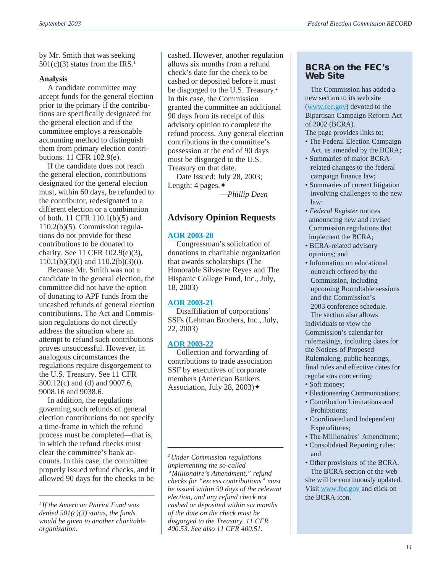by Mr. Smith that was seeking  $501(c)(3)$  status from the IRS.<sup>1</sup>

#### **Analysis**

A candidate committee may accept funds for the general election prior to the primary if the contributions are specifically designated for the general election and if the committee employs a reasonable accounting method to distinguish them from primary election contributions. 11 CFR 102.9(e).

If the candidate does not reach the general election, contributions designated for the general election must, within 60 days, be refunded to the contributor, redesignated to a different election or a combination of both. 11 CFR 110.1(b)(5) and 110.2(b)(5). Commission regulations do not provide for these contributions to be donated to charity. See 11 CFR 102.9(e)(3), 110.1(b)(3)(i) and 110.2(b)(3)(i).

Because Mr. Smith was not a candidate in the general election, the committee did not have the option of donating to APF funds from the uncashed refunds of general election contributions. The Act and Commission regulations do not directly address the situation where an attempt to refund such contributions proves unsuccessful. However, in analogous circumstances the regulations require disgorgement to the U.S. Treasury. See 11 CFR 300.12(c) and (d) and 9007.6, 9008.16 and 9038.6.

In addition, the regulations governing such refunds of general election contributions do not specify a time-frame in which the refund process must be completed—that is, in which the refund checks must clear the committee's bank accounts. In this case, the committee properly issued refund checks, and it allowed 90 days for the checks to be

cashed. However, another regulation allows six months from a refund check's date for the check to be cashed or deposited before it must be disgorged to the U.S. Treasury.<sup>2</sup> In this case, the Commission granted the committee an additional 90 days from its receipt of this advisory opinion to complete the refund process. Any general election contributions in the committee's possession at the end of 90 days must be disgorged to the U.S. Treasury on that date.

Date Issued: July 28, 2003; Length: 4 pages.✦ —*Phillip Deen*

## **Advisory Opinion Requests**

#### **[AOR 2003-20](http://saos.fec.gov/saos/searchao)**

Congressman's solicitation of donations to charitable organization that awards scholarships (The Honorable Silvestre Reyes and The Hispanic College Fund, Inc., July, 18, 2003)

#### **[AOR 2003-21](http://saos.fec.gov/saos/searchao)**

Disaffiliation of corporations' SSFs (Lehman Brothers, Inc., July, 22, 2003)

## **[AOR 2003-22](http://saos.fec.gov/saos/searchao)**

Collection and forwarding of contributions to trade association SSF by executives of corporate members (American Bankers Association, July 28, 2003) $\blacklozenge$ 

*2 Under Commission regulations implementing the so-called "Millionaire's Amendment," refund checks for "excess contributions" must be issued within 50 days of the relevant election, and any refund check not cashed or deposited within six months of the date on the check must be disgorged to the Treasury. 11 CFR 400.53. See also 11 CFR 400.51.*

## **BCRA on the FEC's Web Site**

 The Commission has added a new section to its web site ([www.fec.gov\)](http://www.fec.gov) devoted to the Bipartisan Campaign Reform Act of 2002 (BCRA).

The page provides links to:

- The Federal Election Campaign Act, as amended by the BCRA;
- Summaries of major BCRA related changes to the federal campaign finance law;
- Summaries of current litigation involving challenges to the new law;
- *Federal Register* notices announcing new and revised Commission regulations that implement the BCRA;
- BCRA-related advisory opinions; and
- Information on educational outreach offered by the Commission, including upcoming Roundtable sessions and the Commission's 2003 conference schedule.

 The section also allows individuals to view the Commission's calendar for rulemakings, including dates for the Notices of Proposed Rulemaking, public hearings, final rules and effective dates for regulations concerning:

- Soft money;
- Electioneering Communications;
- Contribution Limitations and Prohibitions;
- Coordinated and Independent Expenditures;
- The Millionaires' Amendment;
- Consolidated Reporting rules; and
- Other provisions of the BCRA. The BCRA section of the web site will be continuously updated. Visit [www.fec.gov](http://www.fec.gov) and click on the BCRA icon.

*<sup>1</sup> If the American Patriot Fund was denied 501(c)(3) status, the funds would be given to another charitable organization.*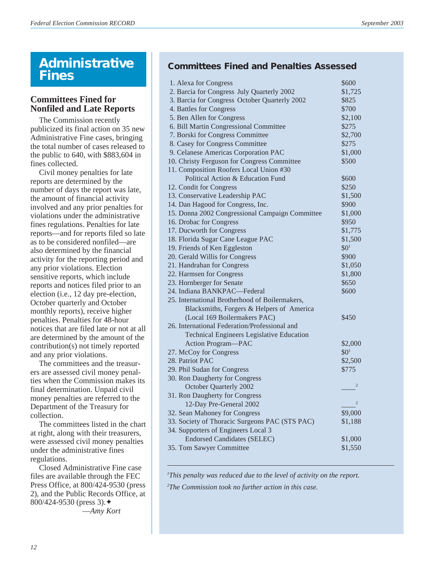## **Administrative Fines**

## **Committees Fined for Nonfiled and Late Reports**

The Commission recently publicized its final action on 35 new Administrative Fine cases, bringing the total number of cases released to the public to 640, with \$883,604 in fines collected.

Civil money penalties for late reports are determined by the number of days the report was late, the amount of financial activity involved and any prior penalties for violations under the administrative fines regulations. Penalties for late reports—and for reports filed so late as to be considered nonfiled—are also determined by the financial activity for the reporting period and any prior violations. Election sensitive reports, which include reports and notices filed prior to an election (i.e., 12 day pre-election, October quarterly and October monthly reports), receive higher penalties. Penalties for 48-hour notices that are filed late or not at all are determined by the amount of the contribution(s) not timely reported and any prior violations.

The committees and the treasurers are assessed civil money penalties when the Commission makes its final determination. Unpaid civil money penalties are referred to the Department of the Treasury for collection.

The committees listed in the chart at right, along with their treasurers, were assessed civil money penalties under the administrative fines regulations.

Closed Administrative Fine case files are available through the FEC Press Office, at 800/424-9530 (press 2), and the Public Records Office, at 800/424-9530 (press 3).✦ —*Amy Kort*

**Committees Fined and Penalties Assessed**

| 1. Alexa for Congress                            | \$600            |
|--------------------------------------------------|------------------|
| 2. Barcia for Congress July Quarterly 2002       | \$1,725          |
| 3. Barcia for Congress October Quarterly 2002    | \$825            |
| 4. Battles for Congress                          | \$700            |
| 5. Ben Allen for Congress                        | \$2,100          |
| 6. Bill Martin Congressional Committee           | \$275            |
| 7. Borski for Congress Committee                 | \$2,700          |
| 8. Casey for Congress Committee                  | \$275            |
| 9. Celanese Americas Corporation PAC             | \$1,000          |
| 10. Christy Ferguson for Congress Committee      | \$500            |
| 11. Composition Roofers Local Union #30          |                  |
| Political Action & Education Fund                | \$600            |
| 12. Condit for Congress                          | \$250            |
| 13. Conservative Leadership PAC                  | \$1,500          |
| 14. Dan Hagood for Congress, Inc.                | \$900            |
| 15. Donna 2002 Congressional Campaign Committee  | \$1,000          |
| 16. Drobac for Congress                          | \$950            |
| 17. Ducworth for Congress                        | \$1,775          |
| 18. Florida Sugar Cane League PAC                | \$1,500          |
| 19. Friends of Ken Eggleston                     | \$0 <sup>1</sup> |
| 20. Gerald Willis for Congress                   | \$900            |
| 21. Handrahan for Congress                       | \$1,050          |
| 22. Harmsen for Congress                         | \$1,800          |
| 23. Hornberger for Senate                        | \$650            |
| 24. Indiana BANKPAC—Federal                      | \$600            |
| 25. International Brotherhood of Boilermakers,   |                  |
| Blacksmiths, Forgers & Helpers of America        |                  |
| (Local 169 Boilermakers PAC)                     | \$450            |
| 26. International Federation/Professional and    |                  |
| <b>Technical Engineers Legislative Education</b> |                  |
| Action Program-PAC                               | \$2,000          |
| 27. McCoy for Congress                           | \$0 <sup>1</sup> |
| 28. Patriot PAC                                  | \$2,500          |
| 29. Phil Sudan for Congress                      | \$775            |
| 30. Ron Daugherty for Congress                   |                  |
| October Quarterly 2002                           | $\sqrt{2}$       |
| 31. Ron Daugherty for Congress                   |                  |
| 12-Day Pre-General 2002                          | $\overline{c}$   |
| 32. Sean Mahoney for Congress                    | \$9,000          |
| 33. Society of Thoracic Surgeons PAC (STS PAC)   | \$1,188          |
| 34. Supporters of Engineers Local 3              |                  |
| <b>Endorsed Candidates (SELEC)</b>               | \$1,000          |
| 35. Tom Sawyer Committee                         | \$1,550          |
|                                                  |                  |

*1 This penalty was reduced due to the level of activity on the report.*

*2 The Commission took no further action in this case.*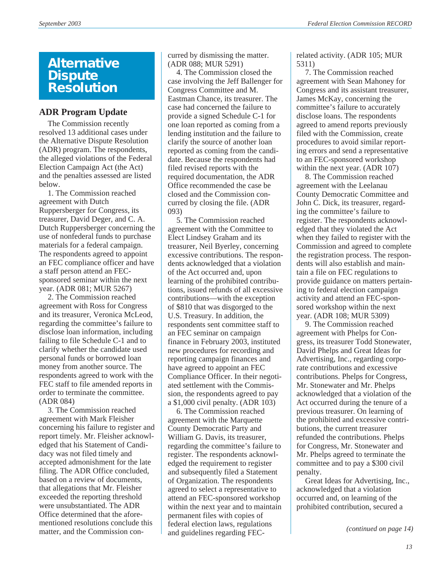## **Alternative Dispute Resolution**

## **ADR Program Update**

The Commission recently resolved 13 additional cases under the Alternative Dispute Resolution (ADR) program. The respondents, the alleged violations of the Federal Election Campaign Act (the Act) and the penalties assessed are listed below.

1. The Commission reached agreement with Dutch Ruppersberger for Congress, its treasurer, David Deger, and C. A. Dutch Ruppersberger concerning the use of nonfederal funds to purchase materials for a federal campaign. The respondents agreed to appoint an FEC compliance officer and have a staff person attend an FECsponsored seminar within the next year. (ADR 081; MUR 5267)

2. The Commission reached agreement with Ross for Congress and its treasurer, Veronica McLeod, regarding the committee's failure to disclose loan information, including failing to file Schedule C-1 and to clarify whether the candidate used personal funds or borrowed loan money from another source. The respondents agreed to work with the FEC staff to file amended reports in order to terminate the committee. (ADR 084)

3. The Commission reached agreement with Mark Fleisher concerning his failure to register and report timely. Mr. Fleisher acknowledged that his Statement of Candidacy was not filed timely and accepted admonishment for the late filing. The ADR Office concluded, based on a review of documents, that allegations that Mr. Fleisher exceeded the reporting threshold were unsubstantiated. The ADR Office determined that the aforementioned resolutions conclude this matter, and the Commission concurred by dismissing the matter. (ADR 088; MUR 5291)

4. The Commission closed the case involving the Jeff Ballenger for Congress Committee and M. Eastman Chance, its treasurer. The case had concerned the failure to provide a signed Schedule C-1 for one loan reported as coming from a lending institution and the failure to clarify the source of another loan reported as coming from the candidate. Because the respondents had filed revised reports with the required documentation, the ADR Office recommended the case be closed and the Commission concurred by closing the file. (ADR 093)

5. The Commission reached agreement with the Committee to Elect Lindsey Graham and its treasurer, Neil Byerley, concerning excessive contributions. The respondents acknowledged that a violation of the Act occurred and, upon learning of the prohibited contributions, issued refunds of all excessive contributions—with the exception of \$810 that was disgorged to the U.S. Treasury. In addition, the respondents sent committee staff to an FEC seminar on campaign finance in February 2003, instituted new procedures for recording and reporting campaign finances and have agreed to appoint an FEC Compliance Officer. In their negotiated settlement with the Commission, the respondents agreed to pay a \$1,000 civil penalty. (ADR 103)

6. The Commission reached agreement with the Marquette County Democratic Party and William G. Davis, its treasurer, regarding the committee's failure to register. The respondents acknowledged the requirement to register and subsequently filed a Statement of Organization. The respondents agreed to select a representative to attend an FEC-sponsored workshop within the next year and to maintain permanent files with copies of federal election laws, regulations and guidelines regarding FEC-

related activity. (ADR 105; MUR 5311)

7. The Commission reached agreement with Sean Mahoney for Congress and its assistant treasurer, James McKay, concerning the committee's failure to accurately disclose loans. The respondents agreed to amend reports previously filed with the Commission, create procedures to avoid similar reporting errors and send a representative to an FEC-sponsored workshop within the next year. (ADR 107)

8. The Commission reached agreement with the Leelanau County Democratic Committee and John C. Dick, its treasurer, regarding the committee's failure to register. The respondents acknowledged that they violated the Act when they failed to register with the Commission and agreed to complete the registration process. The respondents will also establish and maintain a file on FEC regulations to provide guidance on matters pertaining to federal election campaign activity and attend an FEC-sponsored workshop within the next year. (ADR 108; MUR 5309)

9. The Commission reached agreement with Phelps for Congress, its treasurer Todd Stonewater, David Phelps and Great Ideas for Advertising, Inc., regarding corporate contributions and excessive contributions. Phelps for Congress, Mr. Stonewater and Mr. Phelps acknowledged that a violation of the Act occurred during the tenure of a previous treasurer. On learning of the prohibited and excessive contributions, the current treasurer refunded the contributions. Phelps for Congress, Mr. Stonewater and Mr. Phelps agreed to terminate the committee and to pay a \$300 civil penalty.

Great Ideas for Advertising, Inc., acknowledged that a violation occurred and, on learning of the prohibited contribution, secured a

*(continued on page 14)*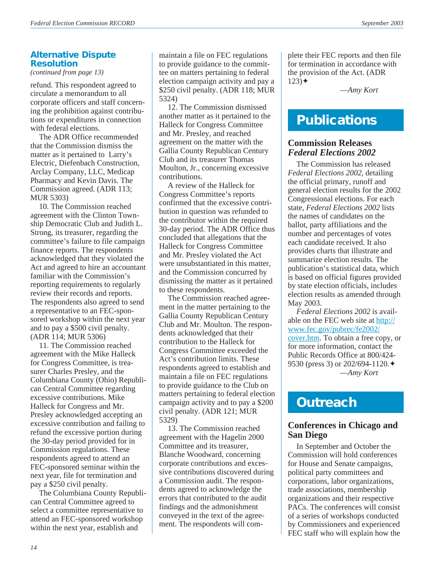## **Alternative Dispute Resolution**

*(continued from page 13)*

refund. This respondent agreed to circulate a memorandum to all corporate officers and staff concerning the prohibition against contributions or expenditures in connection with federal elections.

The ADR Office recommended that the Commission dismiss the matter as it pertained to Larry's Electric, Diefenbach Construction, Arclay Company, LLC, Medicap Pharmacy and Kevin Davis. The Commission agreed. (ADR 113; MUR 5303)

10. The Commission reached agreement with the Clinton Township Democratic Club and Judith L. Strong, its treasurer, regarding the committee's failure to file campaign finance reports. The respondents acknowledged that they violated the Act and agreed to hire an accountant familiar with the Commission's reporting requirements to regularly review their records and reports. The respondents also agreed to send a representative to an FEC-sponsored workshop within the next year and to pay a \$500 civil penalty. (ADR 114; MUR 5306)

11. The Commission reached agreement with the Mike Halleck for Congress Committee, is treasurer Charles Presley, and the Columbiana County (Ohio) Republican Central Committee regarding excessive contributions. Mike Halleck for Congress and Mr. Presley acknowledged accepting an excessive contribution and failing to refund the excessive portion during the 30-day period provided for in Commission regulations. These respondents agreed to attend an FEC-sponsored seminar within the next year, file for termination and pay a \$250 civil penalty.

The Columbiana County Republican Central Committee agreed to select a committee representative to attend an FEC-sponsored workshop within the next year, establish and

maintain a file on FEC regulations to provide guidance to the committee on matters pertaining to federal election campaign activity and pay a \$250 civil penalty. (ADR 118; MUR 5324)

12. The Commission dismissed another matter as it pertained to the Halleck for Congress Committee and Mr. Presley, and reached agreement on the matter with the Gallia County Republican Century Club and its treasurer Thomas Moulton, Jr., concerning excessive contributions.

A review of the Halleck for Congress Committee's reports confirmed that the excessive contribution in question was refunded to the contributor within the required 30-day period. The ADR Office thus concluded that allegations that the Halleck for Congress Committee and Mr. Presley violated the Act were unsubstantiated in this matter, and the Commission concurred by dismissing the matter as it pertained to these respondents.

The Commission reached agreement in the matter pertaining to the Gallia County Republican Century Club and Mr. Moulton. The respondents acknowledged that their contribution to the Halleck for Congress Committee exceeded the Act's contribution limits. These respondents agreed to establish and maintain a file on FEC regulations to provide guidance to the Club on matters pertaining to federal election campaign activity and to pay a \$200 civil penalty. (ADR 121; MUR 5329)

13. The Commission reached agreement with the Hagelin 2000 Committee and its treasurer, Blanche Woodward, concerning corporate contributions and excessive contributions discovered during a Commission audit. The respondents agreed to acknowledge the errors that contributed to the audit findings and the admonishment conveyed in the text of the agreement. The respondents will complete their FEC reports and then file for termination in accordance with the provision of the Act. (ADR  $123)$   $\triangleleft$ 

—*Amy Kort*

## **Publications**

## **Commission Releases** *Federal Elections 2002*

The Commission has released *Federal Elections 2002*, detailing the official primary, runoff and general election results for the 2002 Congressional elections. For each state, *Federal Elections 2002* lists the names of candidates on the ballot, party affiliations and the number and percentages of votes each candidate received. It also provides charts that illustrate and summarize election results. The publication's statistical data, which is based on official figures provided by state election officials, includes election results as amended through May 2003.

*Federal Elections 2002* is available on the FEC web site at [http://](http://www.fec.gov/pubrec/fe2002/cover.htm) [www.fec.gov/pubrec/fe2002/](http://www.fec.gov/pubrec/fe2002/cover.htm) [cover.htm.](http://www.fec.gov/pubrec/fe2002/cover.htm) To obtain a free copy, or for more information, contact the Public Records Office at 800/424- 9530 (press 3) or 202/694-1120. ♦ —*Amy Kort*

## **Outreach**

## **Conferences in Chicago and San Diego**

In September and October the Commission will hold conferences for House and Senate campaigns, political party committees and corporations, labor organizations, trade associations, membership organizations and their respective PACs. The conferences will consist of a series of workshops conducted by Commissioners and experienced FEC staff who will explain how the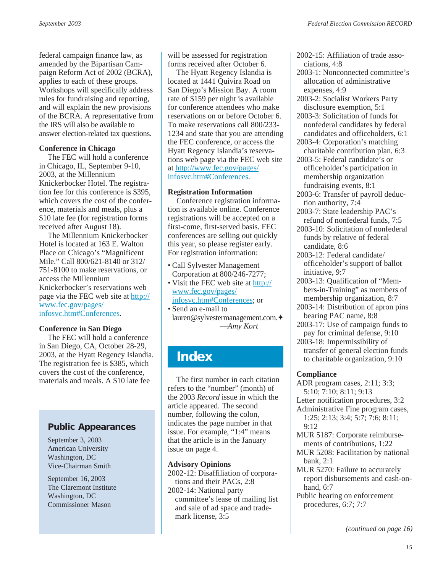federal campaign finance law, as amended by the Bipartisan Campaign Reform Act of 2002 (BCRA), applies to each of these groups. Workshops will specifically address rules for fundraising and reporting, and will explain the new provisions of the BCRA. A representative from the IRS will also be available to answer election-related tax questions.

#### **Conference in Chicago**

The FEC will hold a conference in Chicago, IL, September 9-10, 2003, at the Millennium Knickerbocker Hotel. The registration fee for this conference is \$395, which covers the cost of the conference, materials and meals, plus a \$10 late fee (for registration forms received after August 18).

The Millennium Knickerbocker Hotel is located at 163 E. Walton Place on Chicago's "Magnificent Mile." Call 800/621-8140 or 312/ 751-8100 to make reservations, or access the Millennium Knickerbocker's reservations web page via the FEC web site at [http://](http://www.fec.gov/pages/infosvc.htm#Conferences) [www.fec.gov/pages/](http://www.fec.gov/pages/infosvc.htm#Conferences) [infosvc.htm#Conferences](http://www.fec.gov/pages/infosvc.htm#Conferences).

## **Conference in San Diego**

The FEC will hold a conference in San Diego, CA, October 28-29, 2003, at the Hyatt Regency Islandia. The registration fee is \$385, which covers the cost of the conference, materials and meals. A \$10 late fee

## **Public Appearances**

September 3, 2003 American University Washington, DC Vice-Chairman Smith

September 16, 2003 The Claremont Institute Washington, DC Commissioner Mason

will be assessed for registration forms received after October 6.

The Hyatt Regency Islandia is located at 1441 Quivira Road on San Diego's Mission Bay. A room rate of \$159 per night is available for conference attendees who make reservations on or before October 6. To make reservations call 800/233- 1234 and state that you are attending the FEC conference, or access the Hyatt Regency Islandia's reservations web page via the FEC web site at [http://www.fec.gov/pages/](http://www.fec.gov/pages/infosvc.htm#Conferences) [infosvc.htm#Conferences](http://www.fec.gov/pages/infosvc.htm#Conferences).

#### **Registration Information**

Conference registration information is available online. Conference registrations will be accepted on a first-come, first-served basis. FEC conferences are selling out quickly this year, so please register early. For registration information:

- Call Sylvester Management Corporation at 800/246-7277;
- Visit the FEC web site at [http://](http://www.fec.gov/pages/infosvc.htm#Conferences) [www.fec.gov/pages/](http://www.fec.gov/pages/infosvc.htm#Conferences) [infosvc.htm#Conferences](http://www.fec.gov/pages/infosvc.htm#Conferences); or • Send an e-mail to

lauren@sylvestermanagement.com.✦ —*Amy Kort*

## **Index**

The first number in each citation refers to the "number" (month) of the 2003 *Record* issue in which the article appeared. The second number, following the colon, indicates the page number in that issue. For example, "1:4" means that the article is in the January issue on page 4.

#### **Advisory Opinions**

2002-12: Disaffiliation of corporations and their PACs, 2:8 2002-14: National party committee's lease of mailing list and sale of ad space and trademark license, 3:5

2002-15: Affiliation of trade associations, 4:8

- 2003-1: Nonconnected committee's allocation of administrative expenses, 4:9
- 2003-2: Socialist Workers Party disclosure exemption, 5:1
- 2003-3: Solicitation of funds for nonfederal candidates by federal candidates and officeholders, 6:1
- 2003-4: Corporation's matching charitable contribution plan, 6:3
- 2003-5: Federal candidate's or officeholder's participation in membership organization fundraising events, 8:1
- 2003-6: Transfer of payroll deduction authority, 7:4
- 2003-7: State leadership PAC's refund of nonfederal funds, 7:5
- 2003-10: Solicitation of nonfederal funds by relative of federal candidate, 8:6
- 2003-12: Federal candidate/ officeholder's support of ballot initiative, 9:7
- 2003-13: Qualification of "Members-in-Training" as members of membership organization, 8:7
- 2003-14: Distribution of apron pins bearing PAC name, 8:8
- 2003-17: Use of campaign funds to pay for criminal defense, 9:10
- 2003-18: Impermissibility of transfer of general election funds to charitable organization, 9:10

## **Compliance**

- ADR program cases, 2:11; 3:3; 5:10; 7:10; 8:11; 9:13 Letter notification procedures, 3:2 Administrative Fine program cases, 1:25; 2:13; 3:4; 5:7; 7:6; 8:11;
- 9:12
- MUR 5187: Corporate reimbursements of contributions, 1:22
- MUR 5208: Facilitation by national bank, 2:1
- MUR 5270: Failure to accurately report disbursements and cash-onhand, 6:7
- Public hearing on enforcement procedures, 6:7; 7:7

*(continued on page 16)*